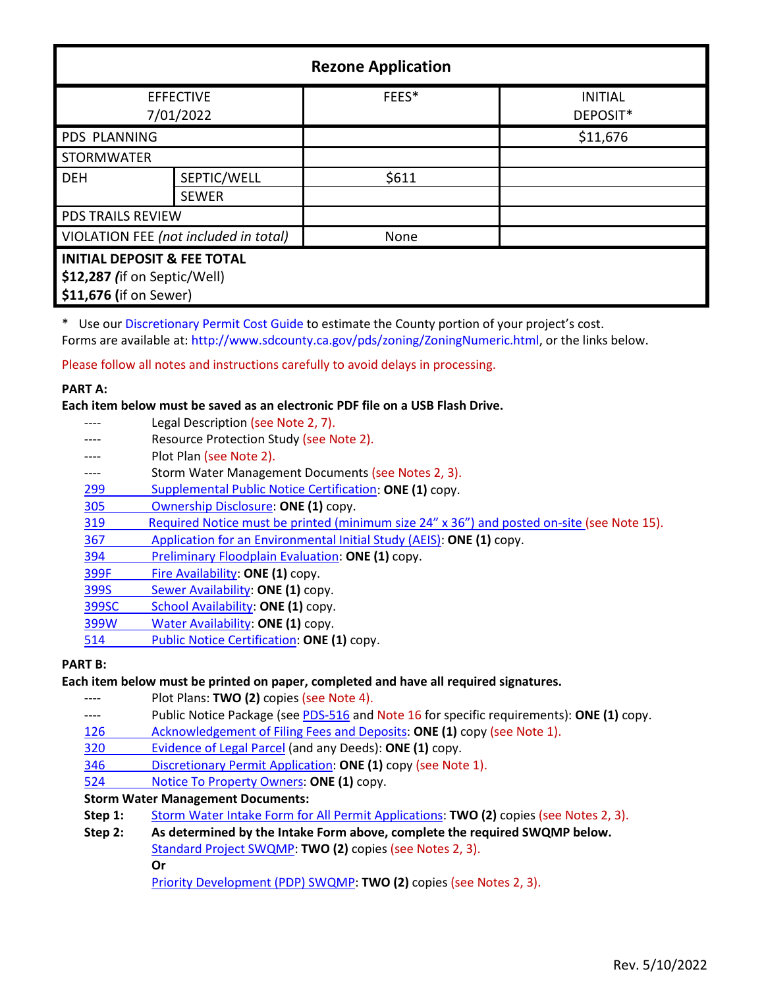| <b>Rezone Application</b>                                                                        |              |       |                            |  |
|--------------------------------------------------------------------------------------------------|--------------|-------|----------------------------|--|
| <b>EFFECTIVE</b><br>7/01/2022                                                                    |              | FEES* | <b>INITIAL</b><br>DEPOSIT* |  |
| PDS PLANNING                                                                                     |              |       | \$11,676                   |  |
| <b>STORMWATER</b>                                                                                |              |       |                            |  |
| <b>DEH</b>                                                                                       | SEPTIC/WELL  | \$611 |                            |  |
|                                                                                                  | <b>SEWER</b> |       |                            |  |
| <b>PDS TRAILS REVIEW</b>                                                                         |              |       |                            |  |
| VIOLATION FEE (not included in total)                                                            |              | None  |                            |  |
| <b>INITIAL DEPOSIT &amp; FEE TOTAL</b><br>\$12,287 (if on Septic/Well)<br>\$11,676 (if on Sewer) |              |       |                            |  |

\* Use our [Discretionary Permit Cost Guide](http://www.sandiegocounty.gov/content/dam/sdc/pds/docs/Discretionary_Permit_Cost_Guide.xlsx) to estimate the County portion of your project's cost.

Forms are available at: [http://www.sdcounty.ca.gov/pds/zoning/ZoningNumeric.html,](http://www.sdcounty.ca.gov/pds/zoning/ZoningNumeric.html) or the links below.

Please follow all notes and instructions carefully to avoid delays in processing.

### **PART A:**

**Each item below must be saved as an electronic PDF file on a USB Flash Drive.**

Legal Description (see Note 2, 7). ---- Resource Protection Study (see Note 2). ---- Plot Plan (see Note 2). ---- Storm Water Management Documents (see Notes 2, 3). 299 [Supplemental Public Notice Certification:](http://www.sdcounty.ca.gov/pds/zoning/formfields/PDS-PLN-299.pdf) **ONE (1)** copy. [305 Ownership Disclosure:](http://www.sdcounty.ca.gov/pds/zoning/formfields/PDS-PLN-305.pdf) **ONE (1)** copy. [319 Required Notice must be printed \(minimum size 24" x 36"\) and posted on-site](https://www.sandiegocounty.gov/content/dam/sdc/pds/zoning/formfields/PDS-PLN-319.pdf) (see Note 15). 367 [Application for an Environmental Initial Study \(AEIS\):](http://www.sdcounty.ca.gov/pds/zoning/formfields/PDS-PLN-367.pdf) **ONE (1)** copy. 394 [Preliminary Floodplain Evaluation:](http://www.sdcounty.ca.gov/pds/zoning/formfields/PDS-PLN-394.pdf) **ONE (1)** copy. [399F Fire Availability:](http://www.sdcounty.ca.gov/pds/zoning/formfields/PDS-PLN-399F.pdf) **ONE (1)** copy. 399S [Sewer Availability:](http://www.sdcounty.ca.gov/pds/zoning/formfields/PDS-PLN-399S.pdf) **ONE (1)** copy. [399SC School Availability:](http://www.sdcounty.ca.gov/pds/zoning/formfields/PDS-PLN-399SC.pdf) **ONE (1)** copy. [399W Water Availability:](http://www.sdcounty.ca.gov/pds/zoning/formfields/PDS-PLN-399W.pdf) **ONE (1)** copy. [514 Public Notice Certification:](http://www.sdcounty.ca.gov/pds/zoning/formfields/PDS-PLN-514.pdf) **ONE (1)** copy.

# **PART B:**

### **Each item below must be printed on paper, completed and have all required signatures.**

Plot Plans: TWO (2) copies (see Note 4).

- ---- Public Notice Package (se[e PDS-516 a](http://www.sdcounty.ca.gov/pds/zoning/formfields/PDS-PLN-516.pdf)nd Note 16 for specific requirements): **ONE (1)** copy.
- [126 Acknowledgement of Filing Fees and Deposits:](http://www.sdcounty.ca.gov/pds/zoning/formfields/PDS-PLN-126.pdf) **ONE (1)** copy (see Note 1).
- [320 Evidence of Legal Parcel](http://www.sdcounty.ca.gov/pds/zoning/formfields/PDS-PLN-320.pdf) (and any Deeds): **ONE (1)** copy.
- 346 [Discretionary Permit Application:](http://www.sdcounty.ca.gov/pds/zoning/formfields/PDS-PLN-346.pdf) **ONE (1)** copy (see Note 1).
- 524 [Notice To Property Owners:](http://www.sdcounty.ca.gov/pds/zoning/formfields/PDS-PLN-524.pdf) **ONE (1)** copy.

# **Storm Water Management Documents:**

- **Step 1:** [Storm Water Intake Form for All Permit Applications:](http://www.sandiegocounty.gov/content/dam/sdc/pds/zoning/formfields/SWQMP-Intake-Form.pdf) **TWO (2)** copies (see Notes 2, 3).
- **Step 2: As determined by the Intake Form above, complete the required SWQMP below.** [Standard Project SWQMP:](http://www.sandiegocounty.gov/content/dam/sdc/pds/zoning/formfields/SWQMP-Standard.pdf) **TWO (2)** copies (see Notes 2, 3). **Or** [Priority Development \(PDP\) SWQMP:](https://www.sandiegocounty.gov/content/sdc/dpw/watersheds/DevelopmentandConstruction/BMP_Design_Manual.html) **TWO (2)** copies (see Notes 2, 3).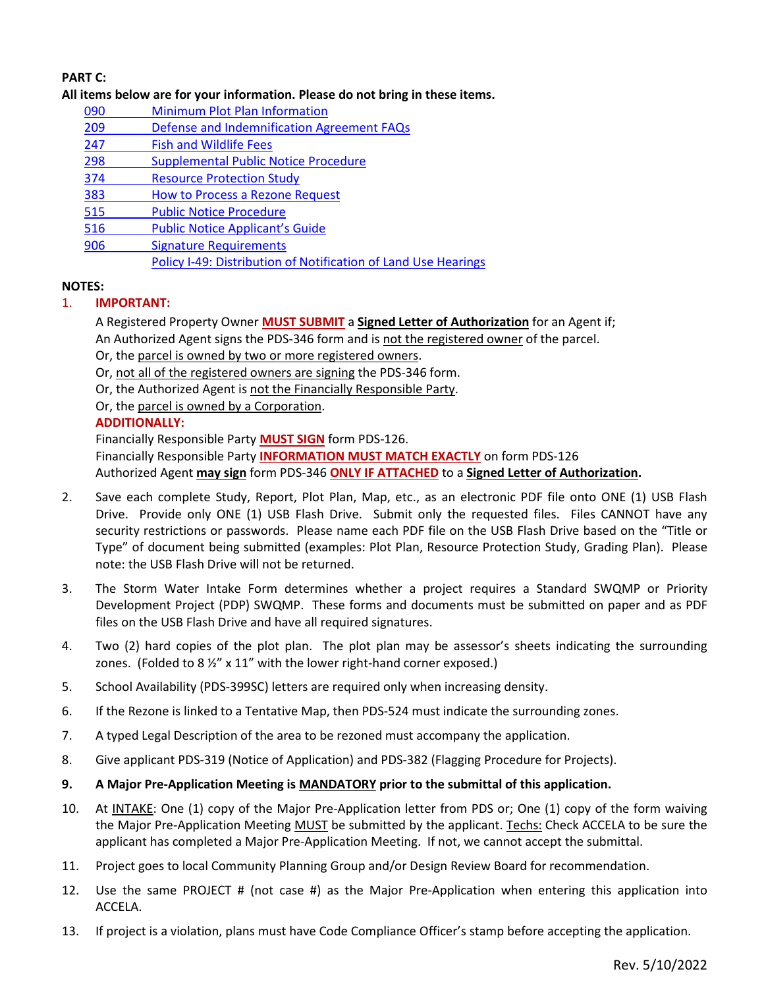# **PART C:**

### **All items below are for your information. Please do not bring in these items.**

- 090 [Minimum Plot Plan Information](http://www.sdcounty.ca.gov/pds/docs/pds090.pdf)
- 209 [Defense and Indemnification Agreement FAQs](http://www.sdcounty.ca.gov/pds/zoning/formfields/PDS-PLN-209.pdf)
- [247 Fish and Wildlife Fees](http://www.sdcounty.ca.gov/pds/zoning/formfields/PDS-PLN-247.pdf)
- [298 Supplemental Public Notice Procedure](http://www.sdcounty.ca.gov/pds/zoning/formfields/PDS-PLN-298.pdf)
- [374 Resource Protection Study](http://www.sdcounty.ca.gov/pds/zoning/formfields/PDS-PLN-374.pdf)
- 383 [How to Process a Rezone Request](http://www.sdcounty.ca.gov/pds/zoning/formfields/PDS-PLN-383.pdf)
- [515 Public Notice Procedure](http://www.sdcounty.ca.gov/pds/zoning/formfields/PDS-PLN-515.pdf)
- [516 Public Notice Applicant's Guide](http://www.sdcounty.ca.gov/pds/zoning/formfields/PDS-PLN-516.pdf)
- [906 Signature Requirements](http://www.sdcounty.ca.gov/pds/zoning/formfields/PDS-PLN-906.pdf) 
	- [Policy I-49: Distribution of Notification of Land Use Hearings](http://www.sdcounty.ca.gov/cob/docs/policy/I-49.pdf)

# **NOTES:**

# 1. **IMPORTANT:**

A Registered Property Owner **MUST SUBMIT** a **Signed Letter of Authorization** for an Agent if; An Authorized Agent signs the PDS-346 form and is not the registered owner of the parcel.

Or, the parcel is owned by two or more registered owners.

Or, not all of the registered owners are signing the PDS-346 form.

Or, the Authorized Agent is not the Financially Responsible Party.

Or, the parcel is owned by a Corporation.

# **ADDITIONALLY:**

Financially Responsible Party **MUST SIGN** form PDS-126. Financially Responsible Party **INFORMATION MUST MATCH EXACTLY** on form PDS-126 Authorized Agent **may sign** form PDS-346 **ONLY IF ATTACHED** to a **Signed Letter of Authorization.** 

- 2. Save each complete Study, Report, Plot Plan, Map, etc., as an electronic PDF file onto ONE (1) USB Flash Drive. Provide only ONE (1) USB Flash Drive. Submit only the requested files. Files CANNOT have any security restrictions or passwords. Please name each PDF file on the USB Flash Drive based on the "Title or Type" of document being submitted (examples: Plot Plan, Resource Protection Study, Grading Plan). Please note: the USB Flash Drive will not be returned.
- 3. The Storm Water Intake Form determines whether a project requires a Standard SWQMP or Priority Development Project (PDP) SWQMP. These forms and documents must be submitted on paper and as PDF files on the USB Flash Drive and have all required signatures.
- 4. Two (2) hard copies of the plot plan. The plot plan may be assessor's sheets indicating the surrounding zones. (Folded to 8 1/2" x 11" with the lower right-hand corner exposed.)
- 5. School Availability (PDS-399SC) letters are required only when increasing density.
- 6. If the Rezone is linked to a Tentative Map, then PDS-524 must indicate the surrounding zones.
- 7. A typed Legal Description of the area to be rezoned must accompany the application.
- 8. Give applicant PDS-319 (Notice of Application) and PDS-382 (Flagging Procedure for Projects).
- **9. A Major Pre-Application Meeting is MANDATORY prior to the submittal of this application.**
- 10. At INTAKE: One (1) copy of the Major Pre-Application letter from PDS or; One (1) copy of the form waiving the Major Pre-Application Meeting MUST be submitted by the applicant. Techs: Check ACCELA to be sure the applicant has completed a Major Pre-Application Meeting. If not, we cannot accept the submittal.
- 11. Project goes to local Community Planning Group and/or Design Review Board for recommendation.
- 12. Use the same PROJECT # (not case #) as the Major Pre-Application when entering this application into ACCELA.
- 13. If project is a violation, plans must have Code Compliance Officer's stamp before accepting the application.